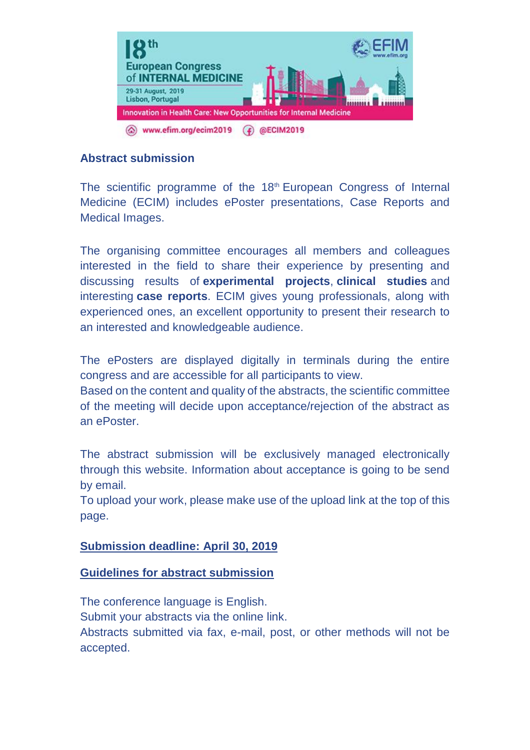

### **Abstract submission**

The scientific programme of the 18<sup>th</sup> European Congress of Internal Medicine (ECIM) includes ePoster presentations, Case Reports and Medical Images.

The organising committee encourages all members and colleagues interested in the field to share their experience by presenting and discussing results of **experimental projects**, **clinical studies** and interesting **case reports**. ECIM gives young professionals, along with experienced ones, an excellent opportunity to present their research to an interested and knowledgeable audience.

The ePosters are displayed digitally in terminals during the entire congress and are accessible for all participants to view.

Based on the content and quality of the abstracts, the scientific committee of the meeting will decide upon acceptance/rejection of the abstract as an ePoster.

The abstract submission will be exclusively managed electronically through this website. Information about acceptance is going to be send by email.

To upload your work, please make use of the upload link at the top of this page.

#### **Submission deadline: April 30, 2019**

#### **Guidelines for abstract submission**

The conference language is English. Submit your abstracts via the online link. Abstracts submitted via fax, e-mail, post, or other methods will not be accepted.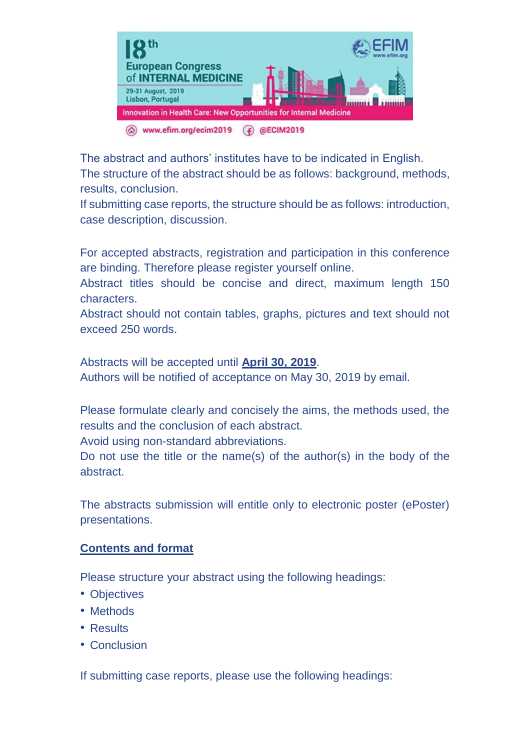

The abstract and authors' institutes have to be indicated in English. The structure of the abstract should be as follows: background, methods, results, conclusion.

If submitting case reports, the structure should be as follows: introduction, case description, discussion.

For accepted abstracts, registration and participation in this conference are binding. Therefore please register yourself online.

Abstract titles should be concise and direct, maximum length 150 characters.

Abstract should not contain tables, graphs, pictures and text should not exceed 250 words.

Abstracts will be accepted until **April 30, 2019**. Authors will be notified of acceptance on May 30, 2019 by email.

Please formulate clearly and concisely the aims, the methods used, the results and the conclusion of each abstract.

Avoid using non-standard abbreviations.

Do not use the title or the name(s) of the author(s) in the body of the abstract.

The abstracts submission will entitle only to electronic poster (ePoster) presentations.

# **Contents and format**

Please structure your abstract using the following headings:

- Objectives
- Methods
- Results
- Conclusion

If submitting case reports, please use the following headings: